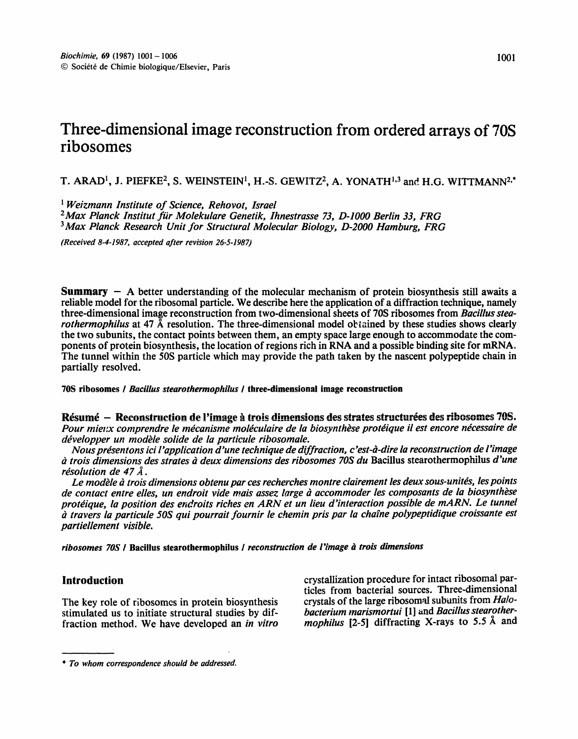# Three-dimensional image reconstruction from ordered arrays of 70S ribosomes

T. ARAD<sup>1</sup>, J. PIEFKE<sup>2</sup>, S. WEINSTEIN<sup>1</sup>, H.-S. GEWITZ<sup>2</sup>, A. YONATH<sup>1,3</sup> and H.G. WITTMANN<sup>2,\*</sup>

<sup>1</sup> Weizmann Institute of Science, Rehovot, Israel

<sup>2</sup>Max Planck Institut für Molekulare Genetik, Ihnestrasse 73, D-1000 Berlin 33, FRG <sup>3</sup>Max Planck Research Unit for Structural Molecular Biology, D-2000 Hamburg, FRG

(Received 8-4-1987, accepted after revision 26-5-1987)

**Summary**  $-$  A better understanding of the molecular mechanism of protein biosynthesis still awaits a reliable model for the ribosomal particle. We describe here the application of a diffraction technique, namely three-dimensional image reconstruction from two-dimensional sheets of 70S ribosomes from Bacillus stea*rothermophilus* at 47 Å resolution. The three-dimensional model obtained by these studies shows clearly the two subunits, the contact points between them, an empty space large enough to accommodate the components of protein biosynthesis, the location of regions rich in RNA and a possible binding site for mRNA. The tunnel within the 50S particle which may provide the path taken by the nascent polypeptide chain in partially resolved.

70S ribosomes / Bacillus stearothermophilus / three-dimensional image reconstruction

Résumé – Reconstruction de l'image à trois dimensions des strates structurées des ribosomes 70S. Pour mieux comprendre le mécanisme moléculaire de la biosynthèse protéique il est encore nécessaire de développer un modèle solide de la particule ribosomale.

Nous présentons ici l'application d'une technique de diffraction, c'est-à-dire la reconstruction de l'image à trois dimensions des strates à deux dimensions des ribosomes 70S du Bacillus stearothermophilus d'une résolution de 47  $\AA$ .

Le modèle à trois dimensions obtenu par ces recherches montre clairement les deux sous-unités, les points de contact entre elles, un endroit vide mais assez large à accommoder les composants de la biosynthèse protéique, la position des endroits riches en ARN et un lieu d'interaction possible de mARN. Le tunnel à travers la particule 50S qui pourrait fournir le chemin pris par la chaîne polypeptidique croissante est partiellement visible.

ribosomes 70S / Bacillus stearothermophilus / reconstruction de l'image à trois dimensions

## **Introduction**

The key role of ribosomes in protein biosynthesis stimulated us to initiate structural studies by diffraction method. We have developed an in vitro

crystallization procedure for intact ribosomal particles from bacterial sources. Three-dimensional crystals of the large ribosomal subunits from *Halo*bacterium marismortui [1] and Bacillus stearothermophilus [2-5] diffracting X-rays to 5.5 Å and

<sup>\*</sup> To whom correspondence should be addressed.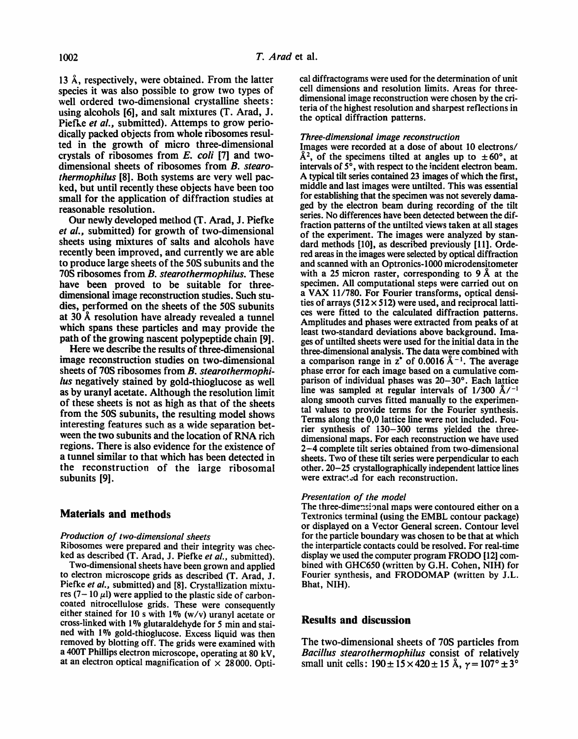13 Å, respectively, were obtained. From the latter species it was also possible to grow two types of well ordered two-dimensional crystalline sheets: using alcohols [6], and salt mixtures (T. Arad, J. Piefke *et al.,* submitted). Attemps to grow periodically packed objects from whole ribosomes resulted in the growth of micro three-dimensional crystals of ribosomes from *E. coil* [7] and twodimensional sheets of ribosomes from *B. stearothermophilus* [8]. Both systems are very well packed, but until recently these objects have been too small for the application of diffraction studies at reasonable resolution.

Our newly developed method (T. Arad, J. Piefke *et al.,* submitted) for growth of two-dimensional sheets using mixtures of salts and alcohols have recently been improved, and currently we are able to produce large sheets of the 50S subunits and the 70S ribosomes from *B. stearothermophilus.* These have been proved to be suitable for threedimensional image reconstruction studies. Such studies, performed on the sheets of the 50S subunits at  $30$  Å resolution have already revealed a tunnel which spans these particles and may provide the path of the growing nascent polypeptide chain [9].

Here we describe the results of three-dimensional image reconstruction studies on two-dimensional sheets of 70S ribosomes from *B. stearothermophilus* negatively stained by gold-thioglucose as well as by uranyl acetate. Although the resolution limit of these sheets is not as high as that of the sheets from the 50S subunits, the resulting model shows interesting features such as a wide separation between the two subunits and the location of RNA rich regions. There is also evidence for the existence of a tunnel similar to that which has been detected in the reconstruction of the large ribosomal subunits [9].

## **Materials and methods**

#### *Production of two-dimensional sheets*

Ribosomes were prepared and their integrity was checked as described (T. Arad, J. Piefke *et al.,* submitted). Two-dimensional sheets have been grown and applied to electron microscope grids as described (T. Arad, J. Piefke *et al.,* submitted) and [8]. Crystallization mixtures (7-10  $\mu$ l) were applied to the plastic side of carboncoated nitrocellulose grids. These were consequently either stained for 10 s with 1% (w/v) uranyl acetate or cross-linked with 1% glutaraldehyde for 5 min and stained with 1% gold-thioglucose. Excess liquid was then removed by blotting off. The grids were examined with a 400T Phillips electron microscope, operating at 80 kV, at an electron optical magnification of  $\times$  28000. Optical diffractograms were used for the determination of unit cell dimensions and resolution limits. Areas for threedimensional image reconstruction were chosen by the criteria of the highest resolution and sharpest reflections in the optical diffraction patterns.

#### *Three-dimensional image reconstruction*

Images were recorded at a dose of about l0 electrons/  $\AA^2$ , of the specimens tilted at angles up to  $\pm 60^\circ$ , at intervals of  $5^\circ$ , with respect to the incident electron beam. A typical tilt series contained 23 images of which the first, middle and last images were untilted. This was essential for establishing that the specimen was not severely damaged by the electron beam during recording of the tilt series. No differences have been detected between the diffraction patterns of the untilted views taken at all stages of the experiment. The images were analyzed by standard methods [10], as described previously [11]. Ordered areas in the images were selected by optical diffraction and scanned with an Optronics-1000 microdensitometer with a 25 micron raster, corresponding to 9  $\AA$  at the specimen. All computational steps were carried out on a VAX 11/780. For Fourier transforms, optical densities of arrays (512 $\times$  512) were used, and reciprocal lattices were fitted to the calculated diffraction patterns. Amplitudes and phases were extracted from peaks of at least two-standard deviations above background. Images of untilted sheets were used for the initial data in the three-dimensional analysis. The data were combined with a comparison range in  $z^*$  of 0.0016 Å<sup>-1</sup>. The average phase error for each image based on a cumulative comparison of individual phases was 20-30°. Each lattice line was sampled at regular intervals of  $1/300$   $\rm \AA /^{-1}$ along smooth curves fitted manually to the experimental values to provide terms for the Fourier synthesis. Terms along the 0,0 lattice line were not included. Fourier synthesis of i30-300 terms yielded the threedimensional maps. For each reconstruction we have used 2-4 complete tilt series obtained from two-dimensional sheets. Two of these tilt series were perpendicular to each other. 20-25 crystallographically independent lattice lines were extracted for each reconstruction.

#### *Presentation of the model*

The three-dimensional maps were contoured either on a Textronics terminal (using the EMBL contour package) or displayed on a Vector General screen. Contour level for the particle boundary was chosen to be that at which the interparticle contacts could be resolved. For real-time display we used the computer program FRODO [12] combined with GHC650 (written by G.H. Cohen, NIH) for Fourier synthesis, and FRODOMAP (written by J.L. Bhat, NIH).

## **Results and discussion**

The two-dimensional sheets of 70S particles from *Bacillus stearothermophilus* consist of relatively small unit cells:  $190 \pm 15 \times 420 \pm 15$  Å,  $\gamma = 107^{\circ} \pm 3^{\circ}$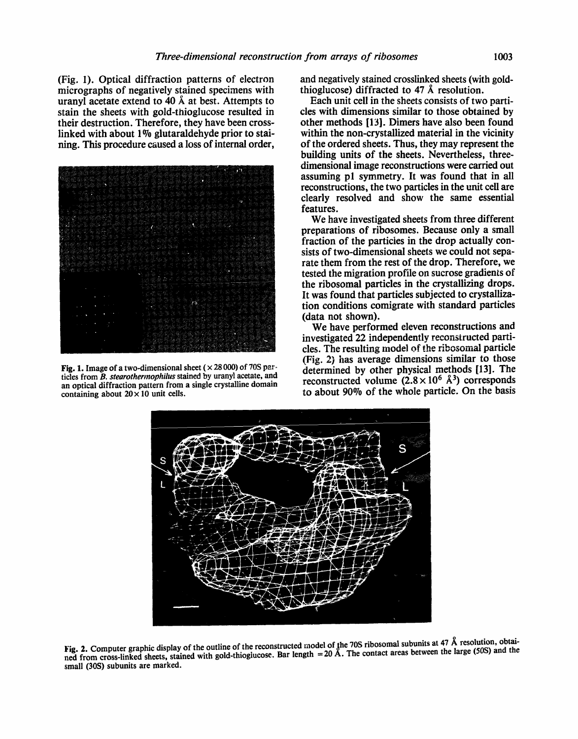(Fig. 1). Optical diffraction patterns of electron micrographs of negatively stained specimens with uranyl acetate extend to 40  $\AA$  at best. Attempts to stain the sheets with gold-thioglucose resulted in their destruction. Therefore, they have been crosslinked with about  $1\%$  glutaraldehyde prior to staining. This procedure caused a loss of internal order,



Fig. 1. Image of a two-dimensional sheet ( $\times$  28000) of 70S partides from *B. stearothermophilus* stained by uranyl acetate, and an optical diffraction pattern from a single crystalline domain containing about  $20 \times 10$  unit cells.

and negatively stained crosslinked sheets (with goldthioglucose) diffracted to 47 A resolution.

Each unit cell in the sheets consists of two particles with dimensions similar to those obtained by other methods [13]. Dimers have also been found within the non-crystallized material in the vicinity of the ordered sheets. Thus, they may represent the building units of the sheets. Nevertheless, threedimensional image reconstructions were carried out assuming p1 symmetry. It was found that in all reconstructions, the two particles in the unit cell are clearly resolved and show the same essential features.

We have investigated sheets from three different preparations of ribosomes. Because only a small fraction of the particles in the drop actually consists of two-dimensional sheets we could not separate them from the rest of the drop. Therefore, we tested the migration profile on sucrose gradients of the ribosomal particles in the crystallizing drops. It was found that particles subjected to crystallization conditions comigrate with standard particles (data not shown).

We have performed eleven reconstructions and investigated 22 independently reconstructed particles. The resulting model of the ribosomal particle (Fig. 2) has average dimensions similar to those determined by other physical methods [13]. The reconstructed volume  $(2.8 \times 10^6 \text{ Å}^3)$  corresponds to about 90% of the whole particle. On the basis



Fig. 2. Computer graphic display of the outline of the reconstructed model of the 70S ribosomal subunits at 47  $\AA$  resolution, obtained from cross-linked sheets, stained with gold-thioglucose. Bar length = 20 A. The contact areas between the large (50S) and the small (30S) subunits are marked.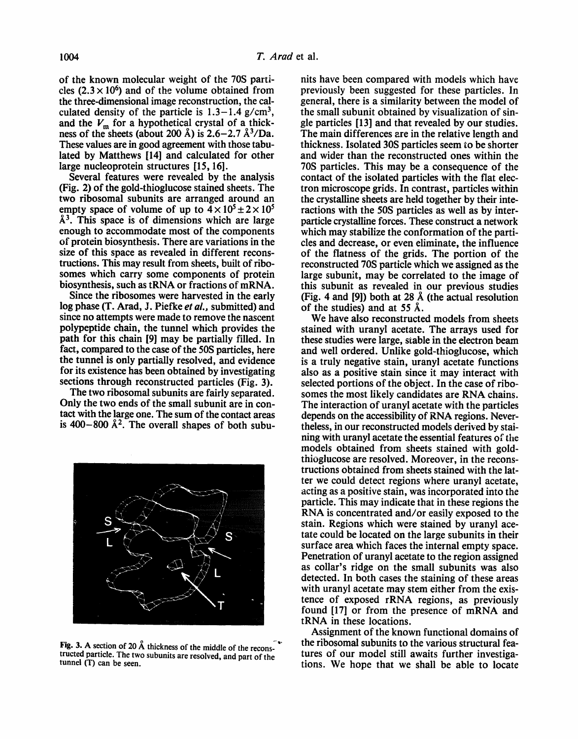of the known molecular weight of the 70S particles  $(2.3 \times 10^6)$  and of the volume obtained from the three-dimensional image reconstruction, the calculated density of the particle is  $1.3-1.4$  g/cm<sup>3</sup>, and the  $V_m$  for a hypothetical crystal of a thickness of the sheets (about 200 Å) is  $2.6-2.7$   $\frac{\text{A}}{\text{3}}$ /Da. These values are in good agreement with those tabulated by Matthews [14] and calculated for other large nucleoprotein structures [15, 16].

Several features were revealed by the analysis (Fig. 2) of the gold-thioglucose stained sheets. The two ribosomal subunits are arranged around an empty space of volume of up to  $4 \times 10^5 \pm 2 \times 10^5$  $\AA$ <sup>3</sup>. This space is of dimensions which are large enough to accommodate most of the components of protein biosynthesis. There are variations in the size of this space as revealed in different reconstructions. This may result from sheets, built of ribosomes which carry some components of protein biosynthesis, such as tRNA or fractions of mRNA.

Since the ribosomes were harvested in the early log phase (T. Arad, J. Piefke *et al.,* submitted) and since no attempts were made to remove the nascent polypeptide chain, the tunnel which provides the path for this chain [9] may be partially filled. In fact, compared to the case of the 50S particles, here the tunnel is only partizdly resolved, and evidence for its existence has been obtained by investigating sections through reconstructed particles (Fig. 3).

The two ribosomal subunits are fairly separated. Only the two ends of the small subunit are in contact with the large one. The sum of the contact areas is 400-800  $\AA^2$ . The overall shapes of both subu-



Fig. 3. A section of 20 Å thickness of the middle of the reconstructed particle. The two subunits are resolved, and part of the tunnel (T) can be seen.

nits have been compared with models which have previously been suggested for these particles. In general, there is a similarity between the model of the small subunit obtained by visualization of single particles [13] and that revealed by our studies. The main differences zre in the relative length and thickness. Isolated 30S particles seem to be shorter and wider than the reconstructed ones within the 70S particles. This may be a consequence of the contact of the isolated particles with the flat electron microscope grids. In contrast, particles within the crystalline sheets are held together by their interactions with the 50S particles as well as by interparticle crystalline forces. These construct a network which may stabilize the conformation of the particles and decrease, or even eliminate, the influence of the flatness of the grids. The portion of the reconstructed 70S particle which we assigned as the large subunit, may be correlated to the image of this subunit as revealed in our previous studies (Fig. 4 and [9]) both at 28  $\AA$  (the actual resolution of the studies) and at 55  $\AA$ .

We have also reconstructed models from sheets stained with uranyl acetate. The arrays used for these studies were large, stable in the electron beam and well ordered. Unlike gold-thioglucose, which is a truly negative stain, uranyl acetate functions also as a positive stain since it may interact with selected portions of the object. In the case of ribosomes the most likely candidates are RNA chains. The interaction of uranyl acetate with the particles depends on the accessibility of RNA regions. Nevertheless, in our reconstructed models derived by staining with uranyl acetate the essential features of the models obtained from sheets stained with goldthioglucose are resolved. Moreover, in the reconstructions obtained from sheets stained with the latter we could detect regions where uranyl acetate, acting as a positive stain, was incorporated into the particle. This may indicate that in these regions the RNA is concentrated and/or easily exposed to the stain. Regions which were stained by uranyl acetate could be located on the large subunits in their surface area which faces the internal empty space. Penetration of uranyl acetate to the region assigned as collar's ridge on the small subunits was also detected. In both cases the staining of these areas with uranyl acetate may stem either from the existence of exposed rRNA regions, as previously found [17] or from the presence of mRNA and tRNA in these locations.

Assignment of the known functional domains of the ribosomal subunits to the various structural features of our model still awaits further investigations. We hope that we shall be able to locate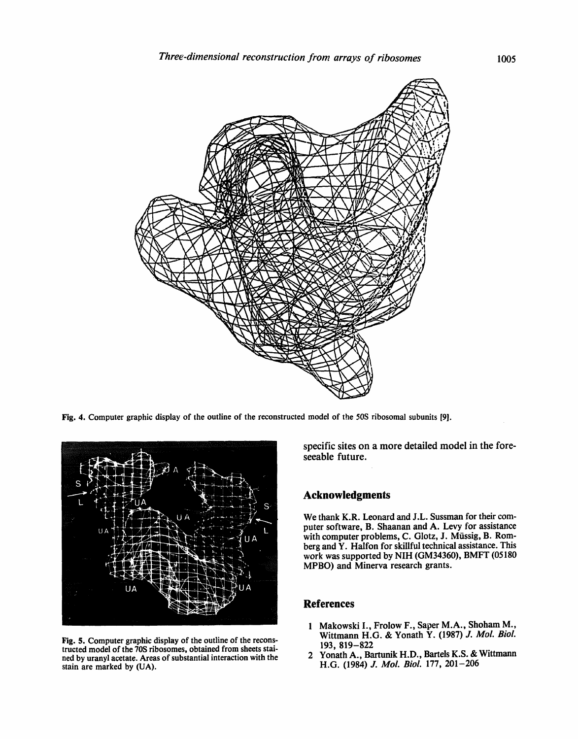

Fig. 4. Computer graphic display of the outline of the reconstructed model of the 50S ribosomal subunits [9].



Fig. 5. Computer graphic display of the outline of the reconstructed model of the 70S ribosomes, obtained from sheets stained by uranyl acetate. Areas of substantial interaction with the stain are marked by (UA).

specific sites on a more detailed model in the foreseeable future.

## **Acknowledgments**

We thank K.R. Leonard and J.L. Sussman for their computer software, B. Shaanan and A. Levy for assistance with computer problems, C. Glotz, J. Müssig, B. Romberg and Y. Halfon for skillful technical assistance. This work was supported by NIH (GM34360), BMFT (05180 MPBO) and Minerva research grants.

## **References**

- 1 Makowski I., Frolow F., Saper M.A., Shoham M., Wittmann H.G. & Yonath Y. (1987) *J. Mol. Biol.*  193, 819-822
- 2 Yonath A., Bartunik H.D., Bartels K.S. & Wittmann H.G. (1984) *J. Mol. Biol.* 177, 201-206